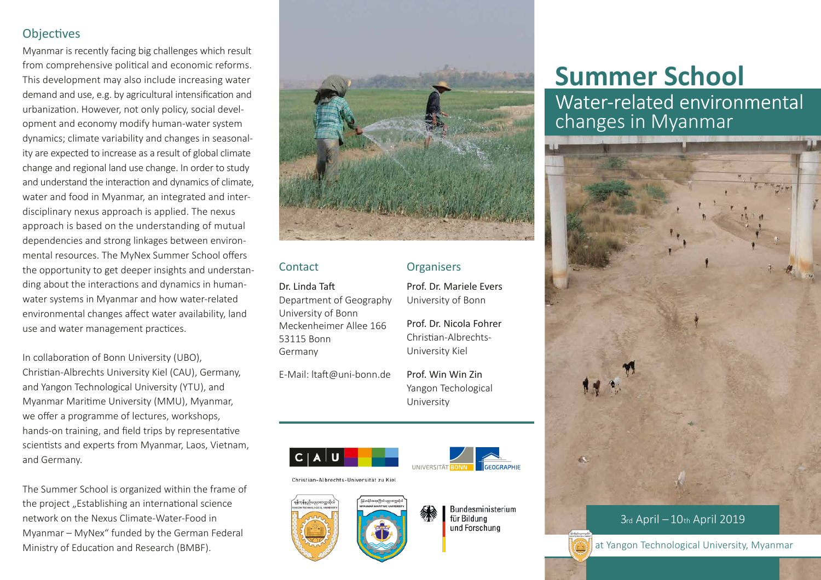# **Objectives**

Myanmar is recently facing big challenges which result from comprehensive political and economic reforms. This development may also include increasing water demand and use, e.g. by agricultural intensification and urbanization. However, not only policy, social development and economy modify human-water system dynamics; climate variability and changes in seasonality are expected to increase as a result of global climate change and regional land use change. In order to study and understand the interaction and dynamics of climate, water and food in Myanmar, an integrated and interdisciplinary nexus approach is applied. The nexus approach is based on the understanding of mutual dependencies and strong linkages between environmental resources. The MyNex Summer School offers the opportunity to get deeper insights and understanding about the interactions and dynamics in humanwater systems in Myanmar and how water-related environmental changes affect water availability, land use and water management practices.

In collaboration of Bonn University (UBO), Christian-Albrechts University Kiel (CAU), Germany, and Yangon Technological University (YTU), and Myanmar Maritime University (MMU), Myanmar, we offer a programme of lectures, workshops, hands-on training, and field trips by representative scientists and experts from Myanmar, Laos, Vietnam, and Germany.

The Summer School is organized within the frame of the project "Establishing an international science network on the Nexus Climate-Water-Food in Myanmar – MyNex" funded by the German Federal Ministry of Education and Research (BMBF). The Ministry of Education and Research (BMBF). The Ministry of Education and Research (BMBF).



# **Contact**

Dr. Linda Taft Department of Geography University of Bonn Meckenheimer Allee 166 53115 Bonn Germany

E-Mail: ltaft@uni-bonn.de

Prof. Win Win Zin Yangon Techological University

Prof. Dr. Mariele Evers University of Bonn

Prof. Dr. Nicola Fohrer Christian-Albrechts-University Kiel

**Organisers** 





Christian-Albrechts-Universität zu Kiel



Bundesministerium für Bildung und Forschung

# **Summer School**

Water-related environmental<br>changes in Myanmar



# 3rd April –10th April 2019